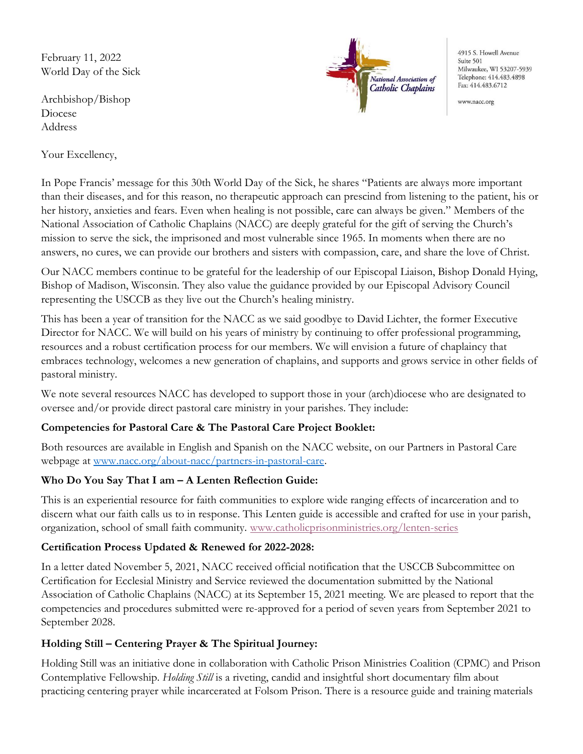February 11, 2022 World Day of the Sick

Archbishop/Bishop Diocese Address

Your Excellency,



4915 S. Howell Avenue Suite 501 Milwaukee, WI 53207-5939 Telephone: 414.483.4898 Fax: 414.483.6712

www.nacc.org

In Pope Francis' message for this 30th World Day of the Sick, he shares "Patients are always more important than their diseases, and for this reason, no therapeutic approach can prescind from listening to the patient, his or her history, anxieties and fears. Even when healing is not possible, care can always be given." Members of the National Association of Catholic Chaplains (NACC) are deeply grateful for the gift of serving the Church's mission to serve the sick, the imprisoned and most vulnerable since 1965. In moments when there are no answers, no cures, we can provide our brothers and sisters with compassion, care, and share the love of Christ.

Our NACC members continue to be grateful for the leadership of our Episcopal Liaison, Bishop Donald Hying, Bishop of Madison, Wisconsin. They also value the guidance provided by our Episcopal Advisory Council representing the USCCB as they live out the Church's healing ministry.

This has been a year of transition for the NACC as we said goodbye to David Lichter, the former Executive Director for NACC. We will build on his years of ministry by continuing to offer professional programming, resources and a robust certification process for our members. We will envision a future of chaplaincy that embraces technology, welcomes a new generation of chaplains, and supports and grows service in other fields of pastoral ministry.

We note several resources NACC has developed to support those in your (arch)diocese who are designated to oversee and/or provide direct pastoral care ministry in your parishes. They include:

# Competencies for Pastoral Care & The Pastoral Care Project Booklet:

Both resources are available in English and Spanish on the NACC website, on our Partners in Pastoral Care webpage at www.nacc.org/about-nacc/partners-in-pastoral-care.

# Who Do You Say That I am – A Lenten Reflection Guide:

This is an experiential resource for faith communities to explore wide ranging effects of incarceration and to discern what our faith calls us to in response. This Lenten guide is accessible and crafted for use in your parish, organization, school of small faith community. www.catholicprisonministries.org/lenten-series

# Certification Process Updated & Renewed for 2022-2028:

In a letter dated November 5, 2021, NACC received official notification that the USCCB Subcommittee on Certification for Ecclesial Ministry and Service reviewed the documentation submitted by the National Association of Catholic Chaplains (NACC) at its September 15, 2021 meeting. We are pleased to report that the competencies and procedures submitted were re-approved for a period of seven years from September 2021 to September 2028.

# Holding Still – Centering Prayer & The Spiritual Journey:

Holding Still was an initiative done in collaboration with Catholic Prison Ministries Coalition (CPMC) and Prison Contemplative Fellowship. Holding Still is a riveting, candid and insightful short documentary film about practicing centering prayer while incarcerated at Folsom Prison. There is a resource guide and training materials